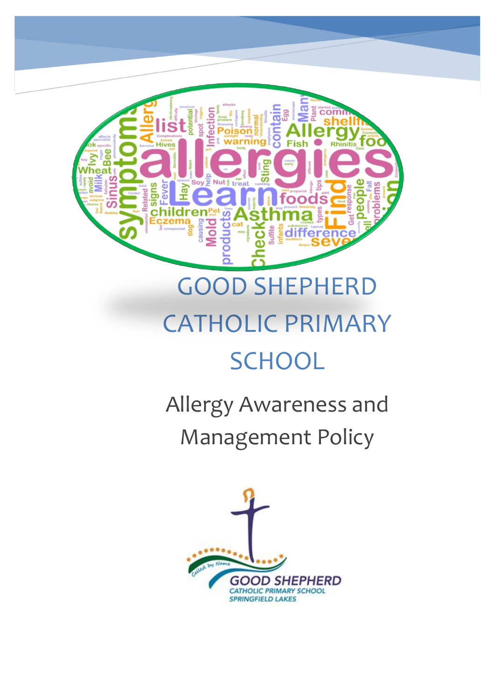

# GOOD SHEPHERD CATHOLIC PRIMARY **SCHOOL**

Allergy Awareness and Management Policy

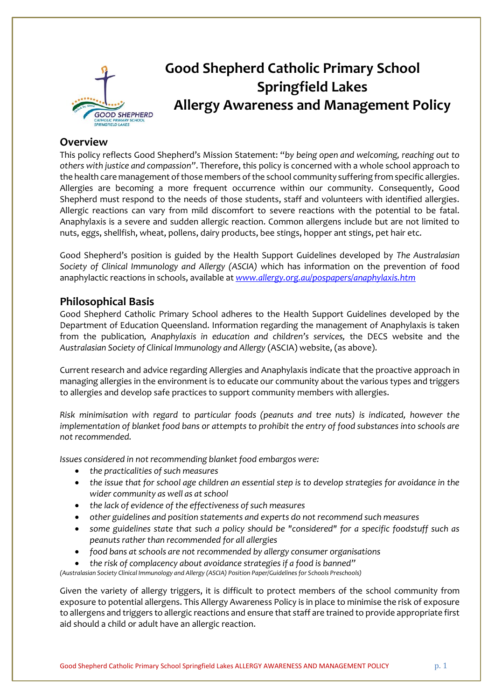

# **Good Shepherd Catholic Primary School Springfield Lakes Allergy Awareness and Management Policy**

### **Overview**

This policy reflects Good Shepherd's Mission Statement: "*by being open and welcoming, reaching out to others with justice and compassion"*. Therefore, this policy is concerned with a whole school approach to the health care management of those members of the school community suffering from specific allergies. Allergies are becoming a more frequent occurrence within our community. Consequently, Good Shepherd must respond to the needs of those students, staff and volunteers with identified allergies. Allergic reactions can vary from mild discomfort to severe reactions with the potential to be fatal. Anaphylaxis is a severe and sudden allergic reaction. Common allergens include but are not limited to nuts, eggs, shellfish, wheat, pollens, dairy products, bee stings, hopper ant stings, pet hair etc.

Good Shepherd's position is guided by the Health Support Guidelines developed by *The Australasian Society of Clinical Immunology and Allergy (ASCIA)* which has information on the prevention of food anaphylactic reactions in schools, available at *[www.allergy.org.au/pospapers/anaphylaxis.htm](http://www.allergy.org.au/pospapers/anaphylaxis.htm)*

### **Philosophical Basis**

Good Shepherd Catholic Primary School adheres to the Health Support Guidelines developed by the Department of Education Queensland. Information regarding the management of Anaphylaxis is taken from the publication*, Anaphylaxis in education and children's services,* the DECS website and the *Australasian Society of Clinical Immunology and Allergy* (ASCIA) website, (as above).

Current research and advice regarding Allergies and Anaphylaxis indicate that the proactive approach in managing allergies in the environment is to educate our community about the various types and triggers to allergies and develop safe practices to support community members with allergies.

*Risk minimisation with regard to particular foods (peanuts and tree nuts) is indicated, however the implementation of blanket food bans or attempts to prohibit the entry of food substances into schools are not recommended.* 

*Issues considered in not recommending blanket food embargos were:* 

- *the practicalities of such measures*
- *the issue that for school age children an essential step is to develop strategies for avoidance in the wider community as well as at school*
- *the lack of evidence of the effectiveness of such measures*
- *other guidelines and position statements and experts do not recommend such measures*
- *some guidelines state that such a policy should be "considered" for a specific foodstuff such as peanuts rather than recommended for all allergies*
- *food bans at schools are not recommended by allergy consumer organisations*
- *the risk of complacency about avoidance strategies if a food is banned"*

*(Australasian Society Clinical Immunology and Allergy (ASCIA) Position Paper/Guidelines for Schools Preschools)* 

Given the variety of allergy triggers, it is difficult to protect members of the school community from exposure to potential allergens. This Allergy Awareness Policy is in place to minimise the risk of exposure to allergens and triggers to allergic reactions and ensure that staff are trained to provide appropriate first aid should a child or adult have an allergic reaction.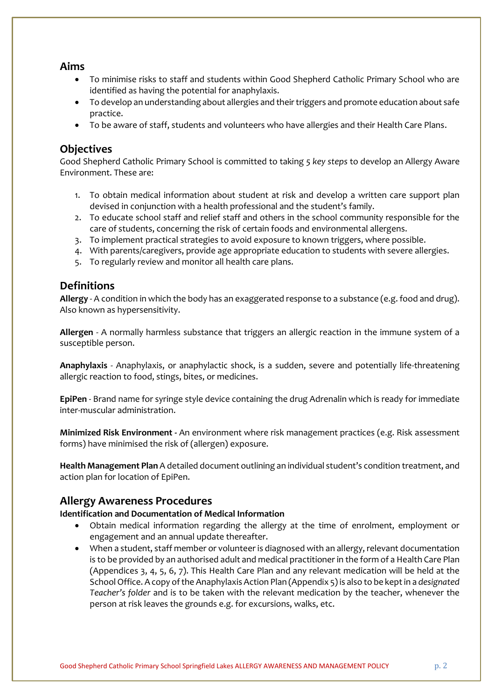### **Aims**

- To minimise risks to staff and students within Good Shepherd Catholic Primary School who are identified as having the potential for anaphylaxis.
- To develop an understanding about allergies and their triggers and promote education about safe practice.
- To be aware of staff, students and volunteers who have allergies and their Health Care Plans.

### **Objectives**

Good Shepherd Catholic Primary School is committed to taking *5 key steps* to develop an Allergy Aware Environment. These are:

- 1. To obtain medical information about student at risk and develop a written care support plan devised in conjunction with a health professional and the student's family.
- 2. To educate school staff and relief staff and others in the school community responsible for the care of students, concerning the risk of certain foods and environmental allergens.
- 3. To implement practical strategies to avoid exposure to known triggers, where possible.
- 4. With parents/caregivers, provide age appropriate education to students with severe allergies.
- 5. To regularly review and monitor all health care plans.

### **Definitions**

**Allergy** - A condition in which the body has an exaggerated response to a substance (e.g. food and drug). Also known as hypersensitivity.

**Allergen** - A normally harmless substance that triggers an allergic reaction in the immune system of a susceptible person.

**Anaphylaxis** - Anaphylaxis, or anaphylactic shock, is a sudden, severe and potentially life-threatening allergic reaction to food, stings, bites, or medicines.

**EpiPen** - Brand name for syringe style device containing the drug Adrenalin which is ready for immediate inter-muscular administration.

**Minimized Risk Environment -** An environment where risk management practices (e.g. Risk assessment forms) have minimised the risk of (allergen) exposure.

**Health Management Plan** A detailed document outlining an individual student's condition treatment, and action plan for location of EpiPen.

### **Allergy Awareness Procedures**

#### **Identification and Documentation of Medical Information**

- Obtain medical information regarding the allergy at the time of enrolment, employment or engagement and an annual update thereafter.
- When a student, staff member or volunteer is diagnosed with an allergy, relevant documentation is to be provided by an authorised adult and medical practitioner in the form of a Health Care Plan (Appendices 3, 4, 5, 6, 7). This Health Care Plan and any relevant medication will be held at the School Office. A copy of the Anaphylaxis Action Plan (Appendix 5) is also to be kept in a *designated Teacher's folder* and is to be taken with the relevant medication by the teacher, whenever the person at risk leaves the grounds e.g. for excursions, walks, etc.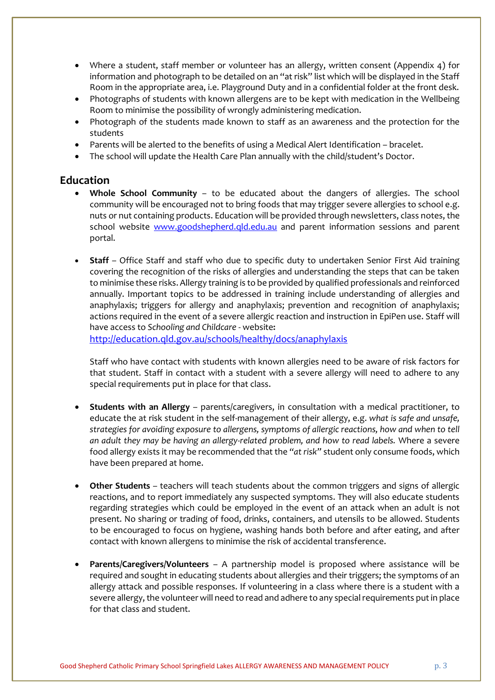- Where a student, staff member or volunteer has an allergy, written consent (Appendix 4) for information and photograph to be detailed on an "at risk" list which will be displayed in the Staff Room in the appropriate area, i.e. Playground Duty and in a confidential folder at the front desk.
- Photographs of students with known allergens are to be kept with medication in the Wellbeing Room to minimise the possibility of wrongly administering medication.
- Photograph of the students made known to staff as an awareness and the protection for the students
- Parents will be alerted to the benefits of using a Medical Alert Identification bracelet.
- The school will update the Health Care Plan annually with the child/student's Doctor.

### **Education**

- **Whole School Community** to be educated about the dangers of allergies. The school community will be encouraged not to bring foods that may trigger severe allergies to school e.g. nuts or nut containing products. Education will be provided through newsletters, class notes, the school website [www.goodshepherd.qld.edu.au](http://www.goodshepherd.qld.edu.au/) and parent information sessions and parent portal.
- **Staff**  Office Staff and staff who due to specific duty to undertaken Senior First Aid training covering the recognition of the risks of allergies and understanding the steps that can be taken to minimise these risks. Allergy training is to be provided by qualified professionals and reinforced annually. Important topics to be addressed in training include understanding of allergies and anaphylaxis; triggers for allergy and anaphylaxis; prevention and recognition of anaphylaxis; actions required in the event of a severe allergic reaction and instruction in EpiPen use. Staff will have access to *Schooling and Childcare* - website**:**

<http://education.qld.gov.au/schools/healthy/docs/anaphylaxis>

Staff who have contact with students with known allergies need to be aware of risk factors for that student. Staff in contact with a student with a severe allergy will need to adhere to any special requirements put in place for that class.

- **Students with an Allergy** parents/caregivers, in consultation with a medical practitioner, to educate the at risk student in the self-management of their allergy, e.g. *what is safe and unsafe, strategies for avoiding exposure to allergens, symptoms of allergic reactions, how and when to tell an adult they may be having an allergy-related problem, and how to read labels.* Where a severe food allergy exists it may be recommended that the *"at risk"* student only consume foods, which have been prepared at home.
- **Other Students** teachers will teach students about the common triggers and signs of allergic reactions, and to report immediately any suspected symptoms. They will also educate students regarding strategies which could be employed in the event of an attack when an adult is not present. No sharing or trading of food, drinks, containers, and utensils to be allowed. Students to be encouraged to focus on hygiene, washing hands both before and after eating, and after contact with known allergens to minimise the risk of accidental transference.
- **Parents/Caregivers/Volunteers** A partnership model is proposed where assistance will be required and sought in educating students about allergies and their triggers; the symptoms of an allergy attack and possible responses. If volunteering in a class where there is a student with a severe allergy, the volunteer will need to read and adhere to any special requirements put in place for that class and student.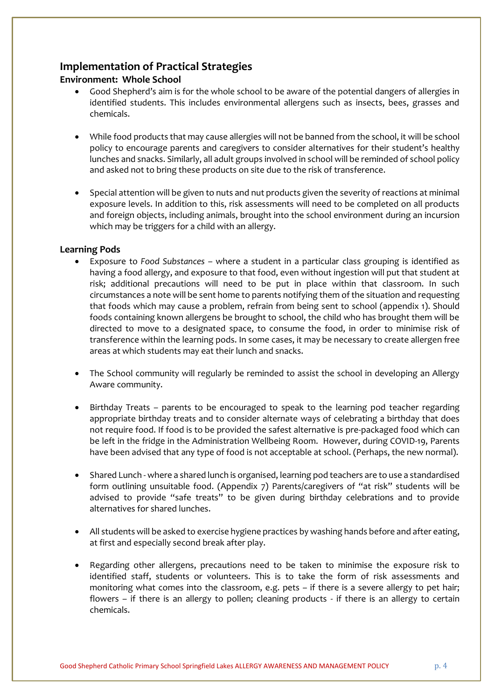## **Implementation of Practical Strategies**

### **Environment: Whole School**

- Good Shepherd's aim is for the whole school to be aware of the potential dangers of allergies in identified students. This includes environmental allergens such as insects, bees, grasses and chemicals.
- While food products that may cause allergies will not be banned from the school, it will be school policy to encourage parents and caregivers to consider alternatives for their student's healthy lunches and snacks. Similarly, all adult groups involved in school will be reminded of school policy and asked not to bring these products on site due to the risk of transference.
- Special attention will be given to nuts and nut products given the severity of reactions at minimal exposure levels. In addition to this, risk assessments will need to be completed on all products and foreign objects, including animals, brought into the school environment during an incursion which may be triggers for a child with an allergy.

### **Learning Pods**

- Exposure to *Food Substances* where a student in a particular class grouping is identified as having a food allergy, and exposure to that food, even without ingestion will put that student at risk; additional precautions will need to be put in place within that classroom. In such circumstances a note will be sent home to parents notifying them of the situation and requesting that foods which may cause a problem, refrain from being sent to school (appendix 1). Should foods containing known allergens be brought to school, the child who has brought them will be directed to move to a designated space, to consume the food, in order to minimise risk of transference within the learning pods. In some cases, it may be necessary to create allergen free areas at which students may eat their lunch and snacks.
- The School community will regularly be reminded to assist the school in developing an Allergy Aware community.
- Birthday Treats parents to be encouraged to speak to the learning pod teacher regarding appropriate birthday treats and to consider alternate ways of celebrating a birthday that does not require food. If food is to be provided the safest alternative is pre-packaged food which can be left in the fridge in the Administration Wellbeing Room. However, during COVID-19, Parents have been advised that any type of food is not acceptable at school. (Perhaps, the new normal).
- Shared Lunch where a shared lunch is organised, learning pod teachers are to use a standardised form outlining unsuitable food. (Appendix 7) Parents/caregivers of "at risk" students will be advised to provide "safe treats" to be given during birthday celebrations and to provide alternatives for shared lunches.
- All students will be asked to exercise hygiene practices by washing hands before and after eating, at first and especially second break after play.
- Regarding other allergens, precautions need to be taken to minimise the exposure risk to identified staff, students or volunteers. This is to take the form of risk assessments and monitoring what comes into the classroom, e.g. pets – if there is a severe allergy to pet hair; flowers – if there is an allergy to pollen; cleaning products - if there is an allergy to certain chemicals.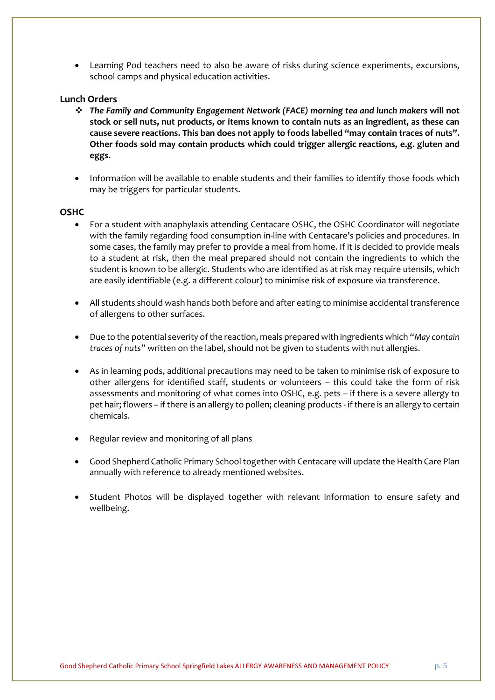• Learning Pod teachers need to also be aware of risks during science experiments, excursions, school camps and physical education activities.

### **Lunch Orders**

- ❖ *The Family and Community Engagement Network (FACE) morning tea and lunch makers* **will not stock or sell nuts, nut products, or items known to contain nuts as an ingredient, as these can cause severe reactions. This ban does not apply to foods labelled "may contain traces of nuts". Other foods sold may contain products which could trigger allergic reactions, e.g. gluten and eggs.**
- Information will be available to enable students and their families to identify those foods which may be triggers for particular students.

#### **OSHC**

- For a student with anaphylaxis attending Centacare OSHC, the OSHC Coordinator will negotiate with the family regarding food consumption in-line with Centacare's policies and procedures. In some cases, the family may prefer to provide a meal from home. If it is decided to provide meals to a student at risk, then the meal prepared should not contain the ingredients to which the student is known to be allergic. Students who are identified as at risk may require utensils, which are easily identifiable (e.g. a different colour) to minimise risk of exposure via transference.
- All students should wash hands both before and after eating to minimise accidental transference of allergens to other surfaces.
- Due to the potential severity of the reaction, meals prepared with ingredients which *"May contain traces of nuts"* written on the label, should not be given to students with nut allergies.
- As in learning pods, additional precautions may need to be taken to minimise risk of exposure to other allergens for identified staff, students or volunteers – this could take the form of risk assessments and monitoring of what comes into OSHC, e.g. pets – if there is a severe allergy to pet hair; flowers – if there is an allergy to pollen; cleaning products - if there is an allergy to certain chemicals.
- Regular review and monitoring of all plans
- Good Shepherd Catholic Primary School together with Centacare will update the Health Care Plan annually with reference to already mentioned websites.
- Student Photos will be displayed together with relevant information to ensure safety and wellbeing.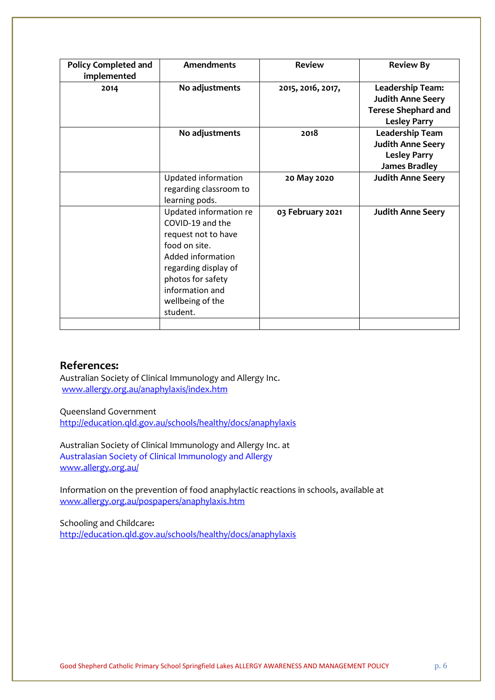| <b>Policy Completed and</b><br>implemented | <b>Amendments</b>      | <b>Review</b>     | <b>Review By</b>           |
|--------------------------------------------|------------------------|-------------------|----------------------------|
| 2014                                       | No adjustments         | 2015, 2016, 2017, | Leadership Team:           |
|                                            |                        |                   | <b>Judith Anne Seery</b>   |
|                                            |                        |                   | <b>Terese Shephard and</b> |
|                                            |                        |                   | <b>Lesley Parry</b>        |
|                                            | No adjustments         | 2018              | Leadership Team            |
|                                            |                        |                   | <b>Judith Anne Seery</b>   |
|                                            |                        |                   | <b>Lesley Parry</b>        |
|                                            |                        |                   | <b>James Bradley</b>       |
|                                            | Updated information    | 20 May 2020       | <b>Judith Anne Seery</b>   |
|                                            | regarding classroom to |                   |                            |
|                                            | learning pods.         |                   |                            |
|                                            | Updated information re | 03 February 2021  | <b>Judith Anne Seery</b>   |
|                                            | COVID-19 and the       |                   |                            |
|                                            | request not to have    |                   |                            |
|                                            | food on site.          |                   |                            |
|                                            | Added information      |                   |                            |
|                                            | regarding display of   |                   |                            |
|                                            | photos for safety      |                   |                            |
|                                            | information and        |                   |                            |
|                                            | wellbeing of the       |                   |                            |
|                                            | student.               |                   |                            |
|                                            |                        |                   |                            |

### **References:**

Australian Society of Clinical Immunology and Allergy Inc. [www.allergy.org.au/anaphylaxis/index.htm](http://www.allergy.org.au/anaphylaxis/index.htm)

Queensland Government

<http://education.qld.gov.au/schools/healthy/docs/anaphylaxis>

Australian Society of Clinical Immunology and Allergy Inc. at [Australasian Society of Clinical Immunology and Allergy](http://www.google.com.au/url?sa=t&rct=j&q=Australian%20Society%20of%20Clinical%20Immunology%20and%20Allergy%20Inc%20&source=web&cd=1&cad=rja&uact=8&ved=0CCgQFjAA&url=http%3A%2F%2Fwww.allergy.org.au%2F&ei=TCFjU4m9KtW48gWHm4H4Dg&usg=AFQjCNEuDdbFs6smF3XZI23mu3ycH4Gb9A&bvm=bv.65788261,d.dGI) [www.allergy.org.au/](http://www.allergy.org.au/)

Information on the prevention of food anaphylactic reactions in schools, available at [www.allergy.org.au/pospapers/anaphylaxis.htm](http://www.allergy.org.au/pospapers/anaphylaxis.htm)

Schooling and Childcare**:**  <http://education.qld.gov.au/schools/healthy/docs/anaphylaxis>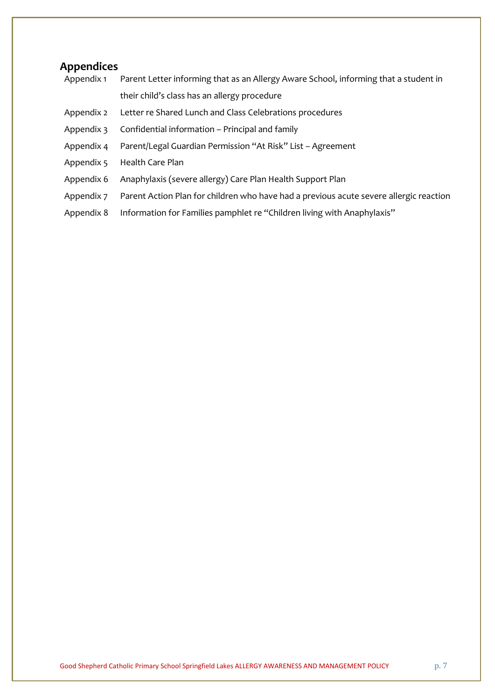# **Appendices**

| Appendix 1 | Parent Letter informing that as an Allergy Aware School, informing that a student in   |
|------------|----------------------------------------------------------------------------------------|
|            | their child's class has an allergy procedure                                           |
| Appendix 2 | Letter re Shared Lunch and Class Celebrations procedures                               |
| Appendix 3 | Confidential information – Principal and family                                        |
| Appendix 4 | Parent/Legal Guardian Permission "At Risk" List - Agreement                            |
| Appendix 5 | Health Care Plan                                                                       |
| Appendix 6 | Anaphylaxis (severe allergy) Care Plan Health Support Plan                             |
| Appendix 7 | Parent Action Plan for children who have had a previous acute severe allergic reaction |
| Appendix 8 | Information for Families pamphlet re "Children living with Anaphylaxis"                |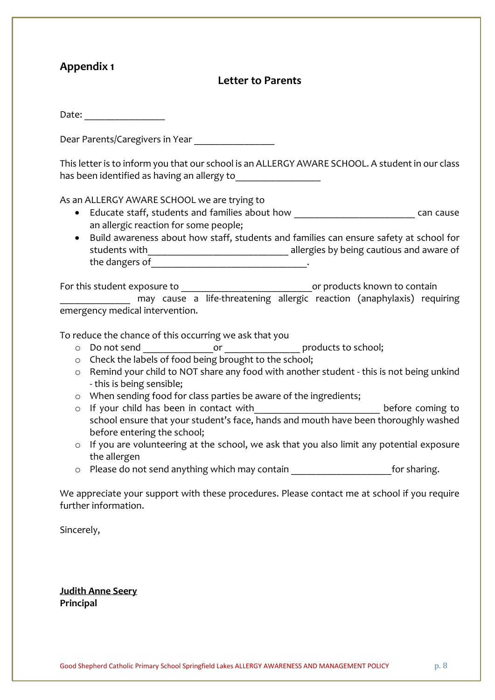### **Letter to Parents**

|                    | Date: ______________                                                                                                                                                                                                          |
|--------------------|-------------------------------------------------------------------------------------------------------------------------------------------------------------------------------------------------------------------------------|
|                    | Dear Parents/Caregivers in Year                                                                                                                                                                                               |
|                    | This letter is to inform you that our school is an ALLERGY AWARE SCHOOL. A student in our class                                                                                                                               |
|                    | As an ALLERGY AWARE SCHOOL we are trying to                                                                                                                                                                                   |
|                    | Educate staff, students and families about how _________________________________ can cause<br>an allergic reaction for some people;<br>Build awareness about how staff, students and families can ensure safety at school for |
|                    |                                                                                                                                                                                                                               |
|                    | For this student exposure to _________________________________or products known to contain<br>may cause a life-threatening allergic reaction (anaphylaxis) requiring<br>emergency medical intervention.                       |
|                    |                                                                                                                                                                                                                               |
|                    | To reduce the chance of this occurring we ask that you                                                                                                                                                                        |
|                    | Check the labels of food being brought to the school;                                                                                                                                                                         |
| $\circ$<br>$\circ$ | Remind your child to NOT share any food with another student - this is not being unkind                                                                                                                                       |
|                    | - this is being sensible;                                                                                                                                                                                                     |
|                    | o When sending food for class parties be aware of the ingredients;                                                                                                                                                            |
| $\circ$            | If your child has been in contact with_____________________________ before coming to<br>school ensure that your student's face, hands and mouth have been thoroughly washed<br>before entering the school;                    |
| $\circ$            | If you are volunteering at the school, we ask that you also limit any potential exposure                                                                                                                                      |
|                    | the allergen<br>o Please do not send anything which may contain __________________________for sharing.                                                                                                                        |
|                    | We appreciate your support with these procedures. Please contact me at school if you require<br>further information.                                                                                                          |
|                    |                                                                                                                                                                                                                               |
| Sincerely,         |                                                                                                                                                                                                                               |
|                    |                                                                                                                                                                                                                               |
|                    |                                                                                                                                                                                                                               |
|                    |                                                                                                                                                                                                                               |

**Judith Anne Seery Principal**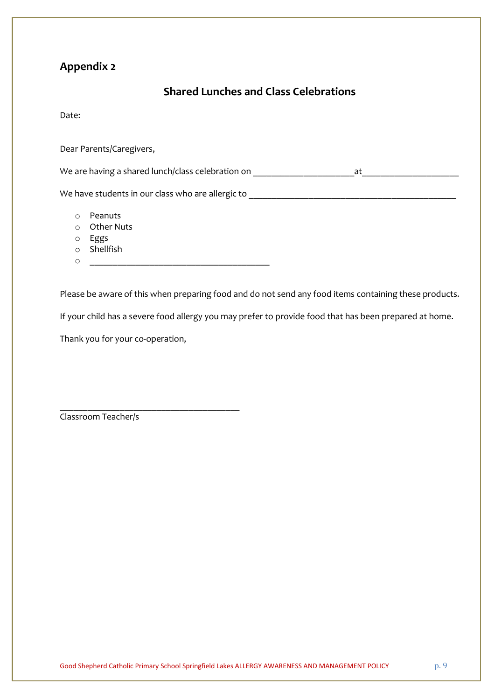## **Shared Lunches and Class Celebrations**

Date:

Dear Parents/Caregivers,

We are having a shared lunch/class celebration on \_\_\_\_\_\_\_\_\_\_\_\_\_\_\_\_\_\_\_\_\_\_\_\_\_\_\_\_\_\_ at

We have students in our class who are allergic to **with any contract of the students** in  $\sim$ 

- o Peanuts
- o Other Nuts
- o Eggs
- o Shellfish
- o \_\_\_\_\_\_\_\_\_\_\_\_\_\_\_\_\_\_\_\_\_\_\_\_\_\_\_\_\_\_\_\_\_\_\_\_\_\_\_

Please be aware of this when preparing food and do not send any food items containing these products.

If your child has a severe food allergy you may prefer to provide food that has been prepared at home.

Thank you for your co-operation,

\_\_\_\_\_\_\_\_\_\_\_\_\_\_\_\_\_\_\_\_\_\_\_\_\_\_\_\_\_\_\_\_\_\_\_\_\_\_\_

Classroom Teacher/s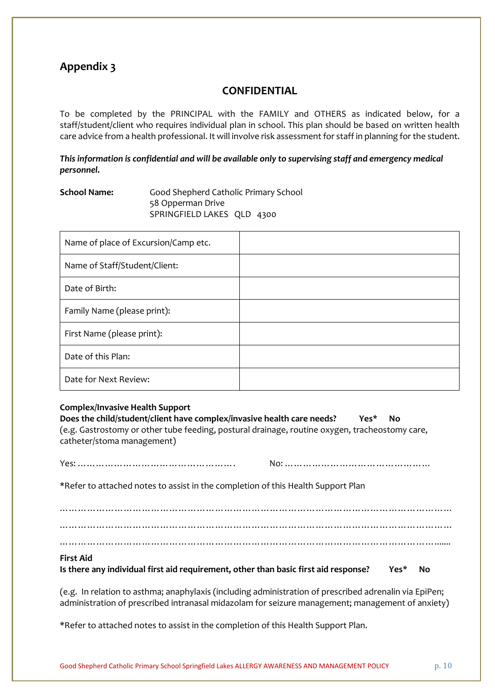### **CONFIDENTIAL**

To be completed by the PRINCIPAL with the FAMILY and OTHERS as indicated below, for a staff/student/client who requires individual plan in school. This plan should be based on written health care advice from a health professional. It will involve risk assessment for staff in planning for the student.

*This information is confidential and will be available only to supervising staff and emergency medical personnel.* 

### **School Name:** Good Shepherd Catholic Primary School 58 Opperman Drive SPRINGFIELD LAKES QLD 4300

| Name of place of Excursion/Camp etc. |  |
|--------------------------------------|--|
| Name of Staff/Student/Client:        |  |
| Date of Birth:                       |  |
| Family Name (please print):          |  |
| First Name (please print):           |  |
| Date of this Plan:                   |  |
| Date for Next Review:                |  |

#### **Complex/Invasive Health Support Does the child/student/client have complex/invasive health care needs? Yes\* No** (e.g. Gastrostomy or other tube feeding, postural drainage, routine oxygen, tracheostomy care, catheter/stoma management)

| *Refer to attached notes to assist in the completion of this Health Support Plan                                                                                                                                                                                                                                                        |  |  |
|-----------------------------------------------------------------------------------------------------------------------------------------------------------------------------------------------------------------------------------------------------------------------------------------------------------------------------------------|--|--|
|                                                                                                                                                                                                                                                                                                                                         |  |  |
| <b>First Aid</b><br>Is there any individual first aid requirement, other than basic first aid response? $\qquad$ Yes* No                                                                                                                                                                                                                |  |  |
| (e.g. In relation to asthma; anaphylaxis (including administration of prescribed adrenalin via EpiPen;<br>. The contract of the contract of the contract of the contract of the contract of the contract of the contract of the contract of the contract of the contract of the contract of the contract of the contract of the contrac |  |  |

administration of prescribed intranasal midazolam for seizure management; management of anxiety)

\*Refer to attached notes to assist in the completion of this Health Support Plan.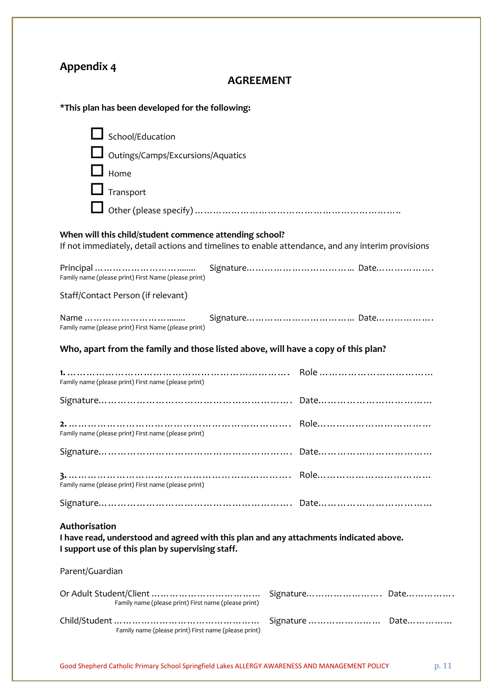# **AGREEMENT**

### **\*This plan has been developed for the following:**

| School/Education                                                                                                                                             |                |
|--------------------------------------------------------------------------------------------------------------------------------------------------------------|----------------|
| Outings/Camps/Excursions/Aquatics                                                                                                                            |                |
| Home                                                                                                                                                         |                |
| Transport                                                                                                                                                    |                |
|                                                                                                                                                              |                |
| When will this child/student commence attending school?<br>If not immediately, detail actions and timelines to enable attendance, and any interim provisions |                |
| Family name (please print) First Name (please print)                                                                                                         |                |
| Staff/Contact Person (if relevant)                                                                                                                           |                |
| Family name (please print) First Name (please print)                                                                                                         |                |
| Who, apart from the family and those listed above, will have a copy of this plan?                                                                            |                |
| Family name (please print) First name (please print)                                                                                                         |                |
|                                                                                                                                                              |                |
| Family name (please print) First name (please print)                                                                                                         |                |
|                                                                                                                                                              |                |
| Family name (please print) First name (please print)                                                                                                         |                |
|                                                                                                                                                              |                |
| Authorisation<br>I have read, understood and agreed with this plan and any attachments indicated above.<br>I support use of this plan by supervising staff.  |                |
| Parent/Guardian                                                                                                                                              |                |
| Family name (please print) First name (please print)                                                                                                         | Signature Date |
| Family name (please print) First name (please print)                                                                                                         | Signature Date |
|                                                                                                                                                              |                |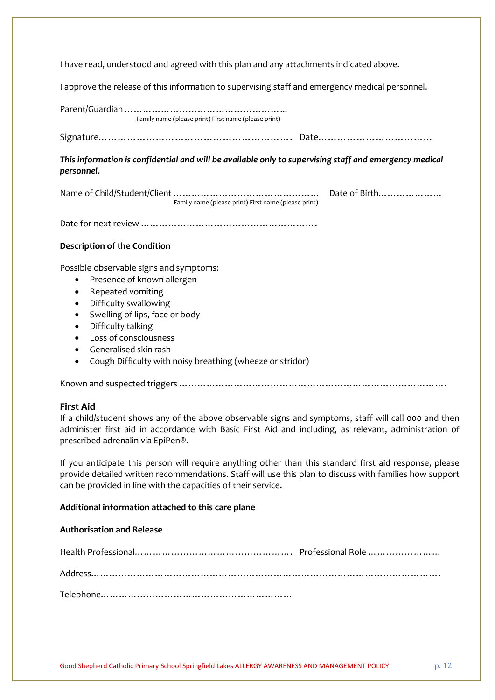I have read, understood and agreed with this plan and any attachments indicated above.

I approve the release of this information to supervising staff and emergency medical personnel.

| Family name (please print) First name (please print)                                                                                                                                                                                                                                                                                                               |               |
|--------------------------------------------------------------------------------------------------------------------------------------------------------------------------------------------------------------------------------------------------------------------------------------------------------------------------------------------------------------------|---------------|
|                                                                                                                                                                                                                                                                                                                                                                    |               |
| This information is confidential and will be available only to supervising staff and emergency medical<br>personnel.                                                                                                                                                                                                                                               |               |
| Family name (please print) First name (please print)                                                                                                                                                                                                                                                                                                               | Date of Birth |
|                                                                                                                                                                                                                                                                                                                                                                    |               |
| <b>Description of the Condition</b>                                                                                                                                                                                                                                                                                                                                |               |
| Possible observable signs and symptoms:<br>Presence of known allergen<br>٠<br>Repeated vomiting<br>٠<br>Difficulty swallowing<br>٠<br>Swelling of lips, face or body<br>٠<br>Difficulty talking<br>$\bullet$<br>Loss of consciousness<br>$\bullet$<br>Generalised skin rash<br>$\bullet$<br>Cough Difficulty with noisy breathing (wheeze or stridor)<br>$\bullet$ |               |
|                                                                                                                                                                                                                                                                                                                                                                    |               |

### **First Aid**

If a child/student shows any of the above observable signs and symptoms, staff will call 000 and then administer first aid in accordance with Basic First Aid and including, as relevant, administration of prescribed adrenalin via EpiPen®.

If you anticipate this person will require anything other than this standard first aid response, please provide detailed written recommendations. Staff will use this plan to discuss with families how support can be provided in line with the capacities of their service.

#### **Additional information attached to this care plane**

### **Authorisation and Release**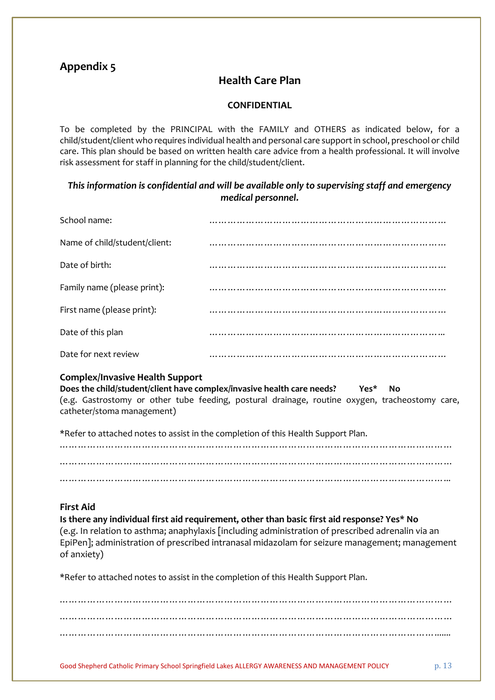## **Health Care Plan**

### **CONFIDENTIAL**

To be completed by the PRINCIPAL with the FAMILY and OTHERS as indicated below, for a child/student/client who requires individual health and personal care support in school, preschool or child care. This plan should be based on written health care advice from a health professional. It will involve risk assessment for staff in planning for the child/student/client.

### *This information is confidential and will be available only to supervising staff and emergency medical personnel.*

| School name:                  |   |
|-------------------------------|---|
| Name of child/student/client: |   |
| Date of birth:                |   |
| Family name (please print):   |   |
| First name (please print):    | . |
| Date of this plan             |   |
| Date for next review          |   |

### **Complex/Invasive Health Support**

| Does the child/student/client have complex/invasive health care needs? |  |  |  | Yes* | No                                                                                             |  |
|------------------------------------------------------------------------|--|--|--|------|------------------------------------------------------------------------------------------------|--|
|                                                                        |  |  |  |      | (e.g. Gastrostomy or other tube feeding, postural drainage, routine oxygen, tracheostomy care, |  |
| catheter/stoma management)                                             |  |  |  |      |                                                                                                |  |

\*Refer to attached notes to assist in the completion of this Health Support Plan.

………………………………………………………………………………………………………………… ………………………………………………………………………………………………………………… ………………………………………………………………………………………………………………...

### **First Aid**

**Is there any individual first aid requirement, other than basic first aid response? Yes\* No**  (e.g. In relation to asthma; anaphylaxis [including administration of prescribed adrenalin via an EpiPen]; administration of prescribed intranasal midazolam for seizure management; management of anxiety)

\*Refer to attached notes to assist in the completion of this Health Support Plan.

………………………………………………………………………………………………………………… ………………………………………………………………………………………………………………… …………………………………………………………………………………………………………….......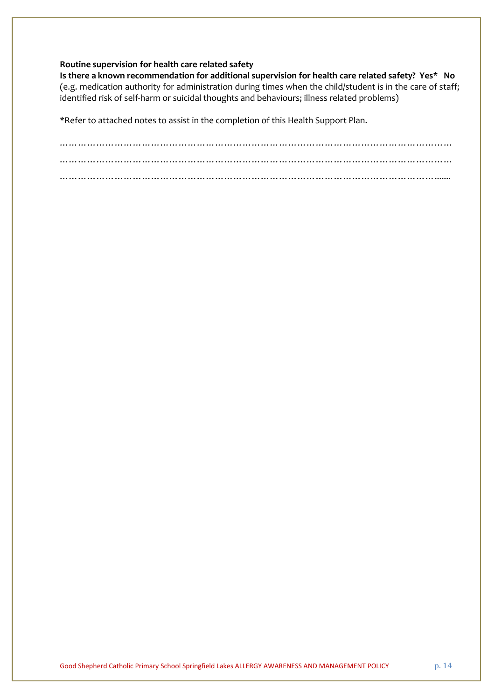#### **Routine supervision for health care related safety**

**Is there a known recommendation for additional supervision for health care related safety? Yes\* No** (e.g. medication authority for administration during times when the child/student is in the care of staff; identified risk of self-harm or suicidal thoughts and behaviours; illness related problems)

\*Refer to attached notes to assist in the completion of this Health Support Plan.

………………………………………………………………………………………………………………… ………………………………………………………………………………………………………………… …………………………………………………………………………………………………………….......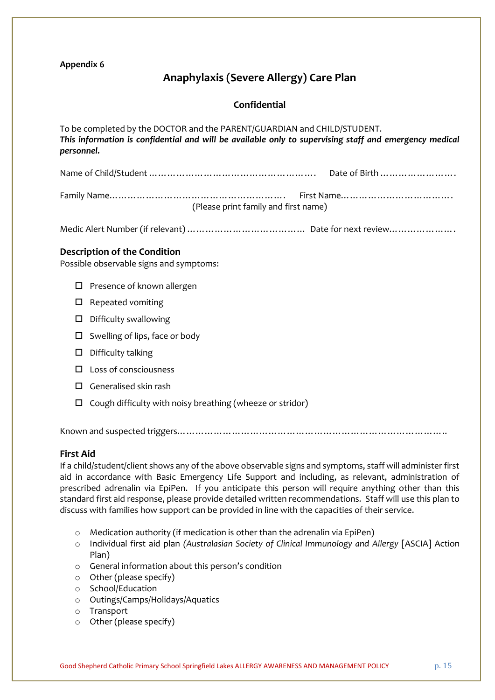# **Anaphylaxis (Severe Allergy) Care Plan**

### **Confidential**

| To be completed by the DOCTOR and the PARENT/GUARDIAN and CHILD/STUDENT.<br>This information is confidential and will be available only to supervising staff and emergency medical<br>personnel. |
|--------------------------------------------------------------------------------------------------------------------------------------------------------------------------------------------------|
|                                                                                                                                                                                                  |
| (Please print family and first name)                                                                                                                                                             |
|                                                                                                                                                                                                  |
| <b>Description of the Condition</b><br>Possible observable signs and symptoms:                                                                                                                   |
| Presence of known allergen<br>□                                                                                                                                                                  |
| Repeated vomiting<br>$\Box$                                                                                                                                                                      |
| Difficulty swallowing<br>□                                                                                                                                                                       |
| Swelling of lips, face or body<br>□                                                                                                                                                              |
| Difficulty talking<br>□                                                                                                                                                                          |
| Loss of consciousness<br>ΙI                                                                                                                                                                      |
| Generalised skin rash<br>LΙ                                                                                                                                                                      |
| Cough difficulty with noisy breathing (wheeze or stridor)<br>□                                                                                                                                   |
|                                                                                                                                                                                                  |

### **First Aid**

If a child/student/client shows any of the above observable signs and symptoms, staff will administer first aid in accordance with Basic Emergency Life Support and including, as relevant, administration of prescribed adrenalin via EpiPen. If you anticipate this person will require anything other than this standard first aid response, please provide detailed written recommendations. Staff will use this plan to discuss with families how support can be provided in line with the capacities of their service.

- o Medication authority (if medication is other than the adrenalin via EpiPen)
- o Individual first aid plan *(Australasian Society of Clinical Immunology and Allergy* [ASCIA] Action Plan)
- o General information about this person's condition
- o Other (please specify)
- o School/Education
- o Outings/Camps/Holidays/Aquatics
- o Transport
- o Other (please specify)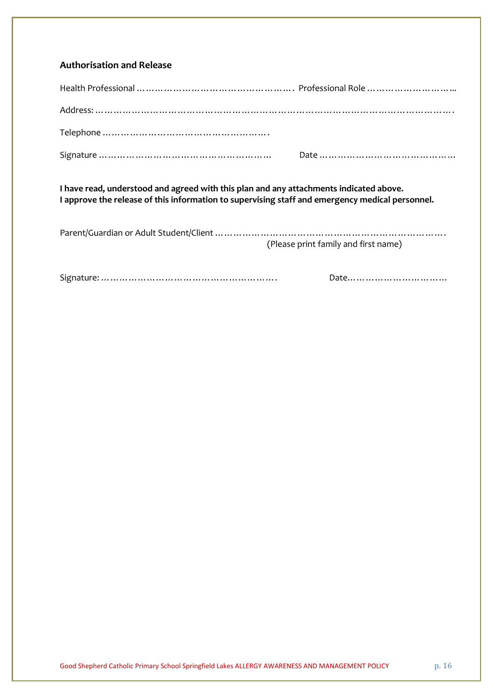| I have read, understood and agreed with this plan and any attachments indicated above.<br>I approve the release of this information to supervising staff and emergency medical personnel. |  |  |
|-------------------------------------------------------------------------------------------------------------------------------------------------------------------------------------------|--|--|
|                                                                                                                                                                                           |  |  |

Signature: …………………………………………………. Date……………………………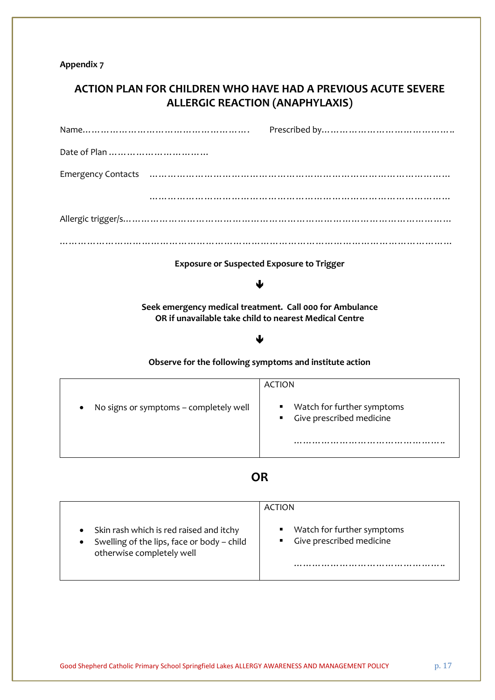# **ACTION PLAN FOR CHILDREN WHO HAVE HAD A PREVIOUS ACUTE SEVERE ALLERGIC REACTION (ANAPHYLAXIS)**

| <b>Exposure or Suspected Exposure to Trigger</b>                                                                   |                                                                               |  |
|--------------------------------------------------------------------------------------------------------------------|-------------------------------------------------------------------------------|--|
|                                                                                                                    |                                                                               |  |
| Seek emergency medical treatment. Call 000 for Ambulance<br>OR if unavailable take child to nearest Medical Centre |                                                                               |  |
|                                                                                                                    |                                                                               |  |
| Observe for the following symptoms and institute action                                                            |                                                                               |  |
|                                                                                                                    | <b>ACTION</b>                                                                 |  |
| No signs or symptoms - completely well                                                                             | Watch for further symptoms<br>٠<br>Give prescribed medicine<br>$\blacksquare$ |  |
|                                                                                                                    |                                                                               |  |
|                                                                                                                    |                                                                               |  |

# **OR**

|                                                                                                                    | ACTION                                                   |
|--------------------------------------------------------------------------------------------------------------------|----------------------------------------------------------|
| Skin rash which is red raised and itchy<br>Swelling of the lips, face or body - child<br>otherwise completely well | Watch for further symptoms<br>• Give prescribed medicine |
|                                                                                                                    |                                                          |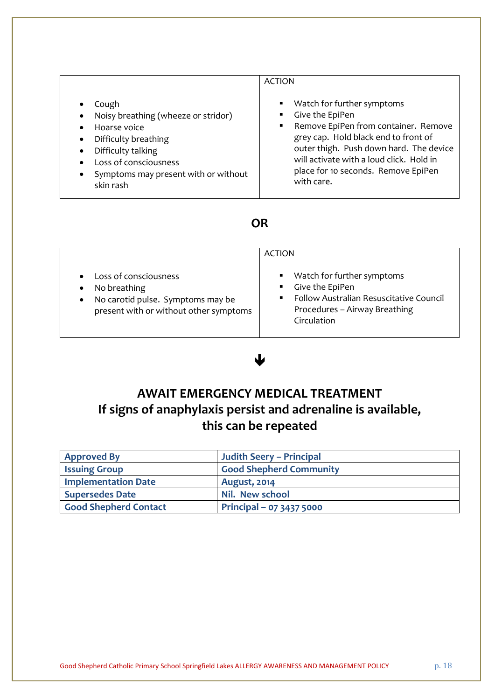|                                                                                                                                                                                                                                                                                     | <b>ACTION</b>                                                                                                                                                                                                                                                             |
|-------------------------------------------------------------------------------------------------------------------------------------------------------------------------------------------------------------------------------------------------------------------------------------|---------------------------------------------------------------------------------------------------------------------------------------------------------------------------------------------------------------------------------------------------------------------------|
| Cough<br>$\bullet$<br>Noisy breathing (wheeze or stridor)<br>$\bullet$<br>Hoarse voice<br>$\bullet$<br>Difficulty breathing<br>$\bullet$<br>Difficulty talking<br>$\bullet$<br>Loss of consciousness<br>$\bullet$<br>Symptoms may present with or without<br>$\bullet$<br>skin rash | Watch for further symptoms<br>Give the EpiPen<br>Remove EpiPen from container. Remove<br>grey cap. Hold black end to front of<br>outer thigh. Push down hard. The device<br>will activate with a loud click. Hold in<br>place for 10 seconds. Remove EpiPen<br>with care. |

# **OR**

|                                                                                                                                                | <b>ACTION</b>                                                                                                                                                                  |
|------------------------------------------------------------------------------------------------------------------------------------------------|--------------------------------------------------------------------------------------------------------------------------------------------------------------------------------|
| Loss of consciousness<br>No breathing<br>$\bullet$<br>No carotid pulse. Symptoms may be<br>$\bullet$<br>present with or without other symptoms | Watch for further symptoms<br>$\blacksquare$<br>Give the EpiPen<br>$\blacksquare$ .<br>Follow Australian Resuscitative Council<br>Procedures - Airway Breathing<br>Circulation |

# $\bigcup$

# **AWAIT EMERGENCY MEDICAL TREATMENT If signs of anaphylaxis persist and adrenaline is available, this can be repeated**

| <b>Approved By</b>         | <b>Judith Seery - Principal</b> |
|----------------------------|---------------------------------|
| <b>Issuing Group</b>       | <b>Good Shepherd Community</b>  |
| <b>Implementation Date</b> | <b>August, 2014</b>             |
| <b>Supersedes Date</b>     | <b>Nil. New school</b>          |
| Good Shepherd Contact      | Principal - 07 3437 5000        |